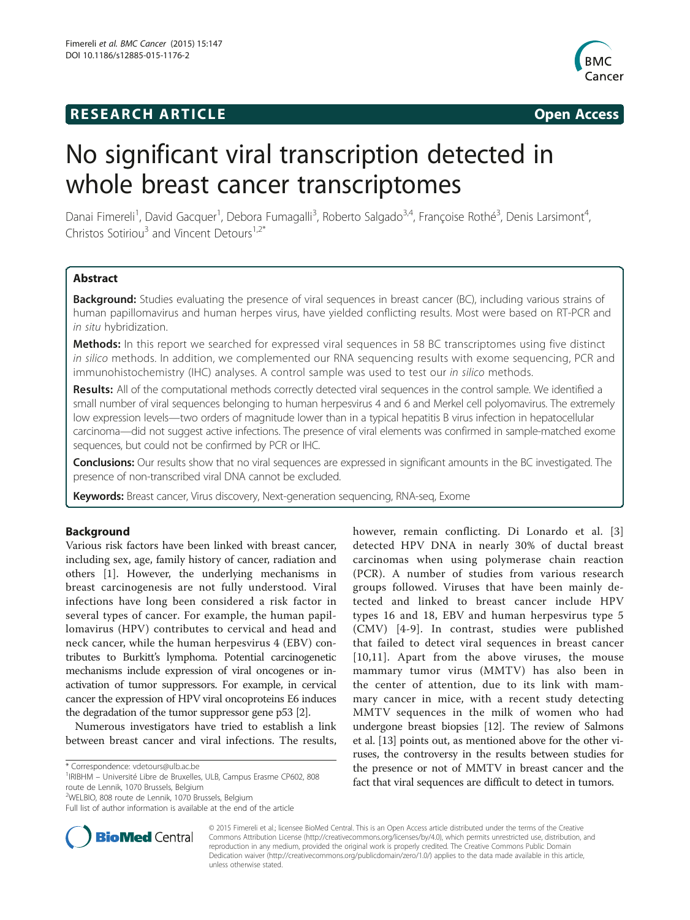# **RESEARCH ARTICLE Example 2014 CONSIDERING CONSIDERING CONSIDERING CONSIDERING CONSIDERING CONSIDERING CONSIDERING CONSIDERING CONSIDERING CONSIDERING CONSIDERING CONSIDERING CONSIDERING CONSIDERING CONSIDERING CONSIDE**



# No significant viral transcription detected in whole breast cancer transcriptomes

Danai Fimereli<sup>1</sup>, David Gacquer<sup>1</sup>, Debora Fumagalli<sup>3</sup>, Roberto Salgado<sup>3,4</sup>, Françoise Rothé<sup>3</sup>, Denis Larsimont<sup>4</sup> , Christos Sotiriou<sup>3</sup> and Vincent Detours<sup>1,2\*</sup>

# **Abstract**

Background: Studies evaluating the presence of viral sequences in breast cancer (BC), including various strains of human papillomavirus and human herpes virus, have yielded conflicting results. Most were based on RT-PCR and in situ hybridization.

Methods: In this report we searched for expressed viral sequences in 58 BC transcriptomes using five distinct in silico methods. In addition, we complemented our RNA sequencing results with exome sequencing, PCR and immunohistochemistry (IHC) analyses. A control sample was used to test our in silico methods.

Results: All of the computational methods correctly detected viral sequences in the control sample. We identified a small number of viral sequences belonging to human herpesvirus 4 and 6 and Merkel cell polyomavirus. The extremely low expression levels—two orders of magnitude lower than in a typical hepatitis B virus infection in hepatocellular carcinoma—did not suggest active infections. The presence of viral elements was confirmed in sample-matched exome sequences, but could not be confirmed by PCR or IHC.

Conclusions: Our results show that no viral sequences are expressed in significant amounts in the BC investigated. The presence of non-transcribed viral DNA cannot be excluded.

Keywords: Breast cancer, Virus discovery, Next-generation sequencing, RNA-seq, Exome

# **Background**

Various risk factors have been linked with breast cancer, including sex, age, family history of cancer, radiation and others [\[1](#page-7-0)]. However, the underlying mechanisms in breast carcinogenesis are not fully understood. Viral infections have long been considered a risk factor in several types of cancer. For example, the human papillomavirus (HPV) contributes to cervical and head and neck cancer, while the human herpesvirus 4 (EBV) contributes to Burkitt's lymphoma. Potential carcinogenetic mechanisms include expression of viral oncogenes or inactivation of tumor suppressors. For example, in cervical cancer the expression of HPV viral oncoproteins E6 induces the degradation of the tumor suppressor gene p53 [\[2](#page-7-0)].

Numerous investigators have tried to establish a link between breast cancer and viral infections. The results,

<sup>1</sup>IRIBHM – Université Libre de Bruxelles, ULB, Campus Erasme CP602, 808 route de Lennik, 1070 Brussels, Belgium





© 2015 Fimereli et al.; licensee BioMed Central. This is an Open Access article distributed under the terms of the Creative Commons Attribution License [\(http://creativecommons.org/licenses/by/4.0\)](http://creativecommons.org/licenses/by/4.0), which permits unrestricted use, distribution, and reproduction in any medium, provided the original work is properly credited. The Creative Commons Public Domain Dedication waiver [\(http://creativecommons.org/publicdomain/zero/1.0/](http://creativecommons.org/publicdomain/zero/1.0/)) applies to the data made available in this article, unless otherwise stated.

<sup>\*</sup> Correspondence: [vdetours@ulb.ac.be](mailto:vdetours@ulb.ac.be) <sup>1</sup>

<sup>2</sup> WELBIO, 808 route de Lennik, 1070 Brussels, Belgium

Full list of author information is available at the end of the article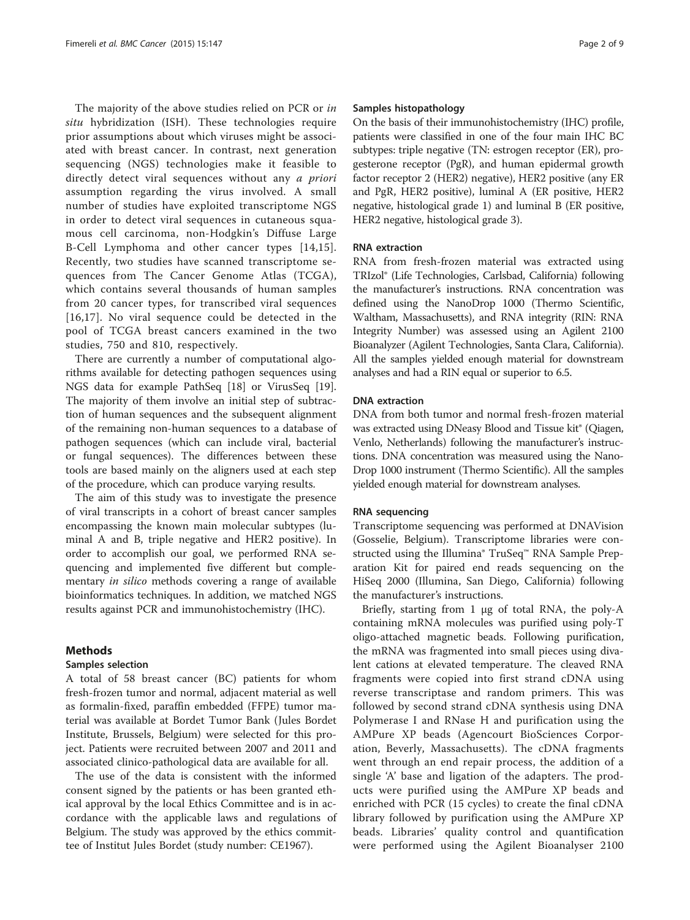The majority of the above studies relied on PCR or in situ hybridization (ISH). These technologies require prior assumptions about which viruses might be associated with breast cancer. In contrast, next generation sequencing (NGS) technologies make it feasible to directly detect viral sequences without any a priori assumption regarding the virus involved. A small number of studies have exploited transcriptome NGS in order to detect viral sequences in cutaneous squamous cell carcinoma, non-Hodgkin's Diffuse Large B-Cell Lymphoma and other cancer types [[14](#page-8-0),[15\]](#page-8-0). Recently, two studies have scanned transcriptome sequences from The Cancer Genome Atlas (TCGA), which contains several thousands of human samples from 20 cancer types, for transcribed viral sequences [[16](#page-8-0),[17\]](#page-8-0). No viral sequence could be detected in the pool of TCGA breast cancers examined in the two studies, 750 and 810, respectively.

There are currently a number of computational algorithms available for detecting pathogen sequences using NGS data for example PathSeq [\[18](#page-8-0)] or VirusSeq [\[19](#page-8-0)]. The majority of them involve an initial step of subtraction of human sequences and the subsequent alignment of the remaining non-human sequences to a database of pathogen sequences (which can include viral, bacterial or fungal sequences). The differences between these tools are based mainly on the aligners used at each step of the procedure, which can produce varying results.

The aim of this study was to investigate the presence of viral transcripts in a cohort of breast cancer samples encompassing the known main molecular subtypes (luminal A and B, triple negative and HER2 positive). In order to accomplish our goal, we performed RNA sequencing and implemented five different but complementary in silico methods covering a range of available bioinformatics techniques. In addition, we matched NGS results against PCR and immunohistochemistry (IHC).

# Methods

## Samples selection

A total of 58 breast cancer (BC) patients for whom fresh-frozen tumor and normal, adjacent material as well as formalin-fixed, paraffin embedded (FFPE) tumor material was available at Bordet Tumor Bank (Jules Bordet Institute, Brussels, Belgium) were selected for this project. Patients were recruited between 2007 and 2011 and associated clinico-pathological data are available for all.

The use of the data is consistent with the informed consent signed by the patients or has been granted ethical approval by the local Ethics Committee and is in accordance with the applicable laws and regulations of Belgium. The study was approved by the ethics committee of Institut Jules Bordet (study number: CE1967).

#### Samples histopathology

On the basis of their immunohistochemistry (IHC) profile, patients were classified in one of the four main IHC BC subtypes: triple negative (TN: estrogen receptor (ER), progesterone receptor (PgR), and human epidermal growth factor receptor 2 (HER2) negative), HER2 positive (any ER and PgR, HER2 positive), luminal A (ER positive, HER2 negative, histological grade 1) and luminal B (ER positive, HER2 negative, histological grade 3).

#### RNA extraction

RNA from fresh-frozen material was extracted using TRIzol® (Life Technologies, Carlsbad, California) following the manufacturer's instructions. RNA concentration was defined using the NanoDrop 1000 (Thermo Scientific, Waltham, Massachusetts), and RNA integrity (RIN: RNA Integrity Number) was assessed using an Agilent 2100 Bioanalyzer (Agilent Technologies, Santa Clara, California). All the samples yielded enough material for downstream analyses and had a RIN equal or superior to 6.5.

### DNA extraction

DNA from both tumor and normal fresh-frozen material was extracted using DNeasy Blood and Tissue kit® (Qiagen, Venlo, Netherlands) following the manufacturer's instructions. DNA concentration was measured using the Nano-Drop 1000 instrument (Thermo Scientific). All the samples yielded enough material for downstream analyses.

# RNA sequencing

Transcriptome sequencing was performed at DNAVision (Gosselie, Belgium). Transcriptome libraries were constructed using the Illumina® TruSeq™ RNA Sample Preparation Kit for paired end reads sequencing on the HiSeq 2000 (Illumina, San Diego, California) following the manufacturer's instructions.

Briefly, starting from 1 μg of total RNA, the poly-A containing mRNA molecules was purified using poly-T oligo-attached magnetic beads. Following purification, the mRNA was fragmented into small pieces using divalent cations at elevated temperature. The cleaved RNA fragments were copied into first strand cDNA using reverse transcriptase and random primers. This was followed by second strand cDNA synthesis using DNA Polymerase I and RNase H and purification using the AMPure XP beads (Agencourt BioSciences Corporation, Beverly, Massachusetts). The cDNA fragments went through an end repair process, the addition of a single 'A' base and ligation of the adapters. The products were purified using the AMPure XP beads and enriched with PCR (15 cycles) to create the final cDNA library followed by purification using the AMPure XP beads. Libraries' quality control and quantification were performed using the Agilent Bioanalyser 2100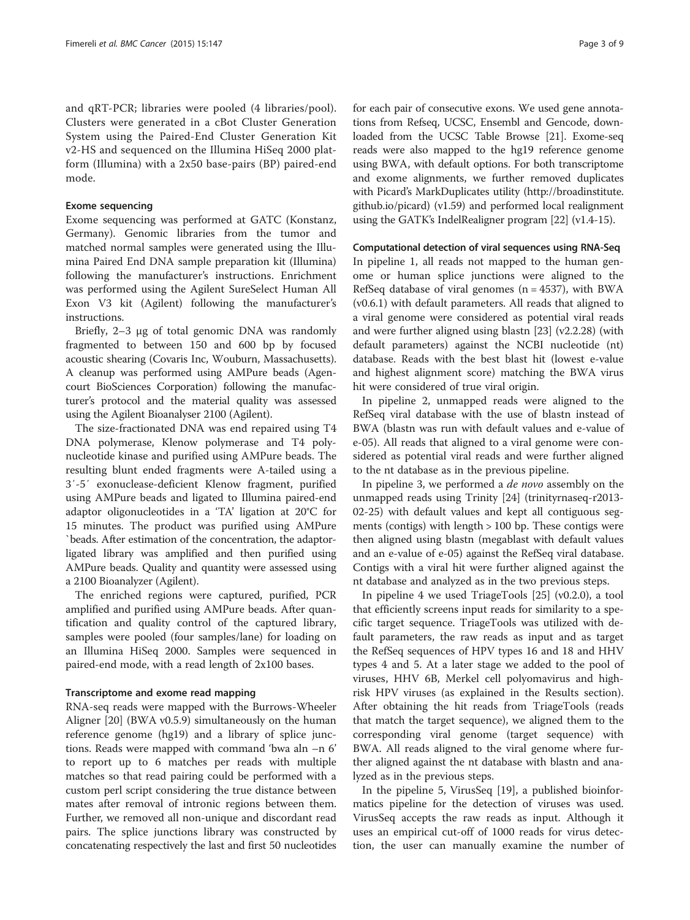and qRT-PCR; libraries were pooled (4 libraries/pool). Clusters were generated in a cBot Cluster Generation System using the Paired-End Cluster Generation Kit v2-HS and sequenced on the Illumina HiSeq 2000 platform (Illumina) with a 2x50 base-pairs (BP) paired-end mode.

#### Exome sequencing

Exome sequencing was performed at GATC (Konstanz, Germany). Genomic libraries from the tumor and matched normal samples were generated using the Illumina Paired End DNA sample preparation kit (Illumina) following the manufacturer's instructions. Enrichment was performed using the Agilent SureSelect Human All Exon V3 kit (Agilent) following the manufacturer's instructions.

Briefly, 2–3 μg of total genomic DNA was randomly fragmented to between 150 and 600 bp by focused acoustic shearing (Covaris Inc, Wouburn, Massachusetts). A cleanup was performed using AMPure beads (Agencourt BioSciences Corporation) following the manufacturer's protocol and the material quality was assessed using the Agilent Bioanalyser 2100 (Agilent).

The size-fractionated DNA was end repaired using T4 DNA polymerase, Klenow polymerase and T4 polynucleotide kinase and purified using AMPure beads. The resulting blunt ended fragments were A-tailed using a 3′-5′ exonuclease-deficient Klenow fragment, purified using AMPure beads and ligated to Illumina paired-end adaptor oligonucleotides in a 'TA' ligation at 20°C for 15 minutes. The product was purified using AMPure `beads. After estimation of the concentration, the adaptorligated library was amplified and then purified using AMPure beads. Quality and quantity were assessed using a 2100 Bioanalyzer (Agilent).

The enriched regions were captured, purified, PCR amplified and purified using AMPure beads. After quantification and quality control of the captured library, samples were pooled (four samples/lane) for loading on an Illumina HiSeq 2000. Samples were sequenced in paired-end mode, with a read length of 2x100 bases.

# Transcriptome and exome read mapping

RNA-seq reads were mapped with the Burrows-Wheeler Aligner [\[20](#page-8-0)] (BWA v0.5.9) simultaneously on the human reference genome (hg19) and a library of splice junctions. Reads were mapped with command 'bwa aln –n 6' to report up to 6 matches per reads with multiple matches so that read pairing could be performed with a custom perl script considering the true distance between mates after removal of intronic regions between them. Further, we removed all non-unique and discordant read pairs. The splice junctions library was constructed by concatenating respectively the last and first 50 nucleotides

for each pair of consecutive exons. We used gene annotations from Refseq, UCSC, Ensembl and Gencode, downloaded from the UCSC Table Browse [\[21\]](#page-8-0). Exome-seq reads were also mapped to the hg19 reference genome using BWA, with default options. For both transcriptome and exome alignments, we further removed duplicates with Picard's MarkDuplicates utility [\(http://broadinstitute.](http://broadinstitute.github.io/picard) [github.io/picard](http://broadinstitute.github.io/picard)) (v1.59) and performed local realignment using the GATK's IndelRealigner program [\[22\]](#page-8-0) (v1.4-15).

### Computational detection of viral sequences using RNA-Seq

In pipeline 1, all reads not mapped to the human genome or human splice junctions were aligned to the RefSeq database of viral genomes ( $n = 4537$ ), with BWA (v0.6.1) with default parameters. All reads that aligned to a viral genome were considered as potential viral reads and were further aligned using blastn [[23\]](#page-8-0) (v2.2.28) (with default parameters) against the NCBI nucleotide (nt) database. Reads with the best blast hit (lowest e-value and highest alignment score) matching the BWA virus hit were considered of true viral origin.

In pipeline 2, unmapped reads were aligned to the RefSeq viral database with the use of blastn instead of BWA (blastn was run with default values and e-value of e-05). All reads that aligned to a viral genome were considered as potential viral reads and were further aligned to the nt database as in the previous pipeline.

In pipeline 3, we performed a de novo assembly on the unmapped reads using Trinity [[24](#page-8-0)] (trinityrnaseq-r2013- 02-25) with default values and kept all contiguous segments (contigs) with length > 100 bp. These contigs were then aligned using blastn (megablast with default values and an e-value of e-05) against the RefSeq viral database. Contigs with a viral hit were further aligned against the nt database and analyzed as in the two previous steps.

In pipeline 4 we used TriageTools [\[25](#page-8-0)] (v0.2.0), a tool that efficiently screens input reads for similarity to a specific target sequence. TriageTools was utilized with default parameters, the raw reads as input and as target the RefSeq sequences of HPV types 16 and 18 and HHV types 4 and 5. At a later stage we added to the pool of viruses, HHV 6B, Merkel cell polyomavirus and highrisk HPV viruses (as explained in the Results section). After obtaining the hit reads from TriageTools (reads that match the target sequence), we aligned them to the corresponding viral genome (target sequence) with BWA. All reads aligned to the viral genome where further aligned against the nt database with blastn and analyzed as in the previous steps.

In the pipeline 5, VirusSeq [\[19](#page-8-0)], a published bioinformatics pipeline for the detection of viruses was used. VirusSeq accepts the raw reads as input. Although it uses an empirical cut-off of 1000 reads for virus detection, the user can manually examine the number of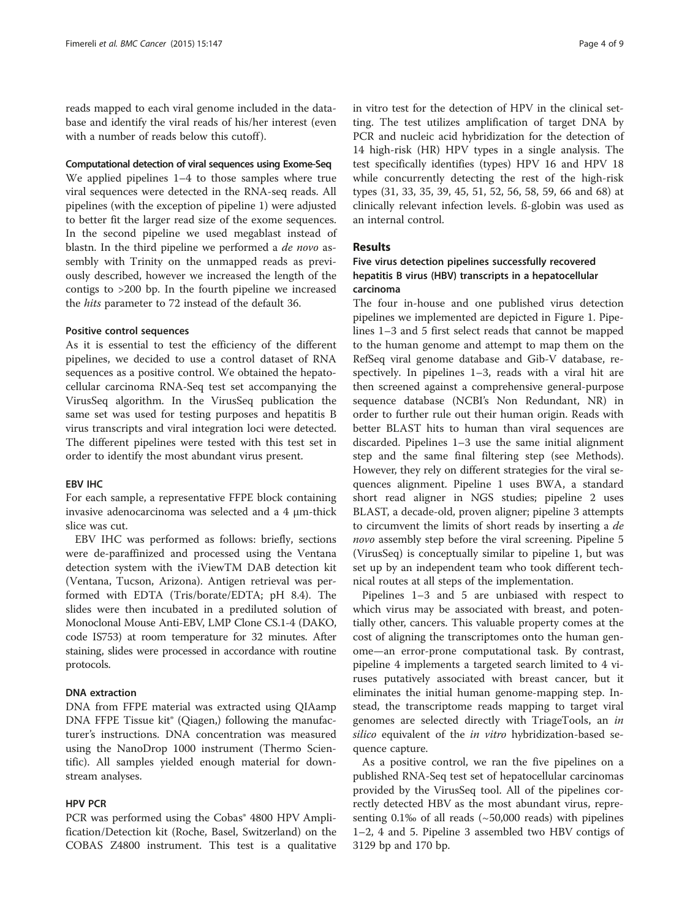reads mapped to each viral genome included in the database and identify the viral reads of his/her interest (even with a number of reads below this cutoff).

#### Computational detection of viral sequences using Exome-Seq

We applied pipelines 1–4 to those samples where true viral sequences were detected in the RNA-seq reads. All pipelines (with the exception of pipeline 1) were adjusted to better fit the larger read size of the exome sequences. In the second pipeline we used megablast instead of blastn. In the third pipeline we performed a de novo assembly with Trinity on the unmapped reads as previously described, however we increased the length of the contigs to >200 bp. In the fourth pipeline we increased the hits parameter to 72 instead of the default 36.

# Positive control sequences

As it is essential to test the efficiency of the different pipelines, we decided to use a control dataset of RNA sequences as a positive control. We obtained the hepatocellular carcinoma RNA-Seq test set accompanying the VirusSeq algorithm. In the VirusSeq publication the same set was used for testing purposes and hepatitis B virus transcripts and viral integration loci were detected. The different pipelines were tested with this test set in order to identify the most abundant virus present.

#### EBV IHC

For each sample, a representative FFPE block containing invasive adenocarcinoma was selected and a 4 μm-thick slice was cut.

EBV IHC was performed as follows: briefly, sections were de-paraffinized and processed using the Ventana detection system with the iViewTM DAB detection kit (Ventana, Tucson, Arizona). Antigen retrieval was performed with EDTA (Tris/borate/EDTA; pH 8.4). The slides were then incubated in a prediluted solution of Monoclonal Mouse Anti-EBV, LMP Clone CS.1-4 (DAKO, code IS753) at room temperature for 32 minutes. After staining, slides were processed in accordance with routine protocols.

# DNA extraction

DNA from FFPE material was extracted using QIAamp DNA FFPE Tissue kit<sup>®</sup> (Qiagen,) following the manufacturer's instructions. DNA concentration was measured using the NanoDrop 1000 instrument (Thermo Scientific). All samples yielded enough material for downstream analyses.

# HPV PCR

PCR was performed using the Cobas<sup>®</sup> 4800 HPV Amplification/Detection kit (Roche, Basel, Switzerland) on the COBAS Z4800 instrument. This test is a qualitative in vitro test for the detection of HPV in the clinical setting. The test utilizes amplification of target DNA by PCR and nucleic acid hybridization for the detection of 14 high-risk (HR) HPV types in a single analysis. The test specifically identifies (types) HPV 16 and HPV 18 while concurrently detecting the rest of the high-risk types (31, 33, 35, 39, 45, 51, 52, 56, 58, 59, 66 and 68) at clinically relevant infection levels. ß-globin was used as an internal control.

# Results

# Five virus detection pipelines successfully recovered hepatitis B virus (HBV) transcripts in a hepatocellular carcinoma

The four in-house and one published virus detection pipelines we implemented are depicted in Figure [1](#page-4-0). Pipelines 1–3 and 5 first select reads that cannot be mapped to the human genome and attempt to map them on the RefSeq viral genome database and Gib-V database, respectively. In pipelines 1–3, reads with a viral hit are then screened against a comprehensive general-purpose sequence database (NCBI's Non Redundant, NR) in order to further rule out their human origin. Reads with better BLAST hits to human than viral sequences are discarded. Pipelines 1–3 use the same initial alignment step and the same final filtering step (see Methods). However, they rely on different strategies for the viral sequences alignment. Pipeline 1 uses BWA, a standard short read aligner in NGS studies; pipeline 2 uses BLAST, a decade-old, proven aligner; pipeline 3 attempts to circumvent the limits of short reads by inserting a de novo assembly step before the viral screening. Pipeline 5 (VirusSeq) is conceptually similar to pipeline 1, but was set up by an independent team who took different technical routes at all steps of the implementation.

Pipelines 1–3 and 5 are unbiased with respect to which virus may be associated with breast, and potentially other, cancers. This valuable property comes at the cost of aligning the transcriptomes onto the human genome—an error-prone computational task. By contrast, pipeline 4 implements a targeted search limited to 4 viruses putatively associated with breast cancer, but it eliminates the initial human genome-mapping step. Instead, the transcriptome reads mapping to target viral genomes are selected directly with TriageTools, an in silico equivalent of the in vitro hybridization-based sequence capture.

As a positive control, we ran the five pipelines on a published RNA-Seq test set of hepatocellular carcinomas provided by the VirusSeq tool. All of the pipelines correctly detected HBV as the most abundant virus, representing  $0.1\%$  of all reads ( $\sim$ 50,000 reads) with pipelines 1–2, 4 and 5. Pipeline 3 assembled two HBV contigs of 3129 bp and 170 bp.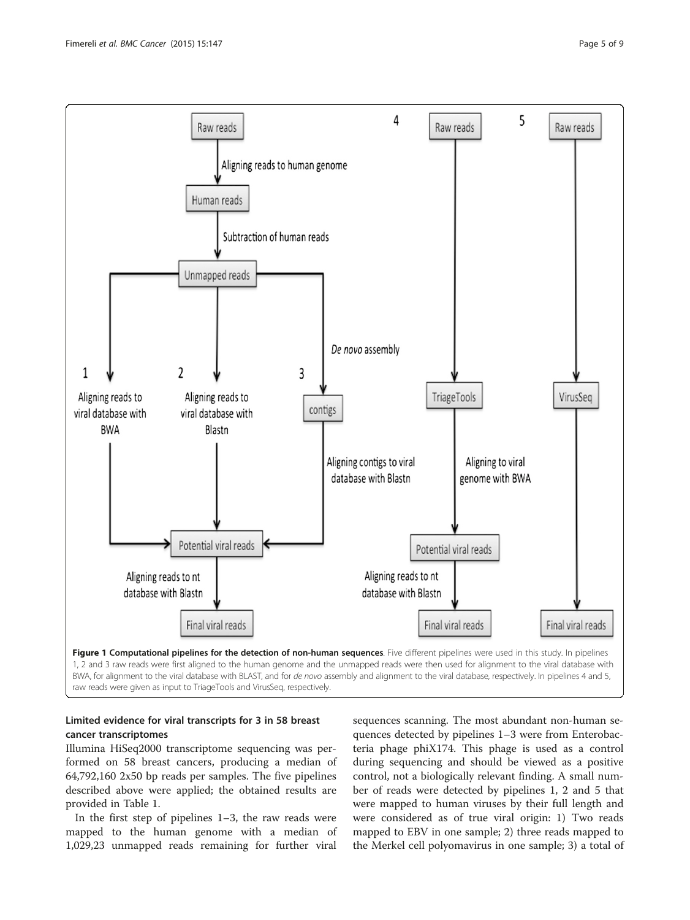<span id="page-4-0"></span>

raw reads were given as input to TriageTools and VirusSeq, respectively.

# Limited evidence for viral transcripts for 3 in 58 breast cancer transcriptomes

Illumina HiSeq2000 transcriptome sequencing was performed on 58 breast cancers, producing a median of 64,792,160 2x50 bp reads per samples. The five pipelines described above were applied; the obtained results are provided in Table [1](#page-5-0).

In the first step of pipelines  $1-3$ , the raw reads were mapped to the human genome with a median of 1,029,23 unmapped reads remaining for further viral

sequences scanning. The most abundant non-human sequences detected by pipelines 1–3 were from Enterobacteria phage phiX174. This phage is used as a control during sequencing and should be viewed as a positive control, not a biologically relevant finding. A small number of reads were detected by pipelines 1, 2 and 5 that were mapped to human viruses by their full length and were considered as of true viral origin: 1) Two reads mapped to EBV in one sample; 2) three reads mapped to the Merkel cell polyomavirus in one sample; 3) a total of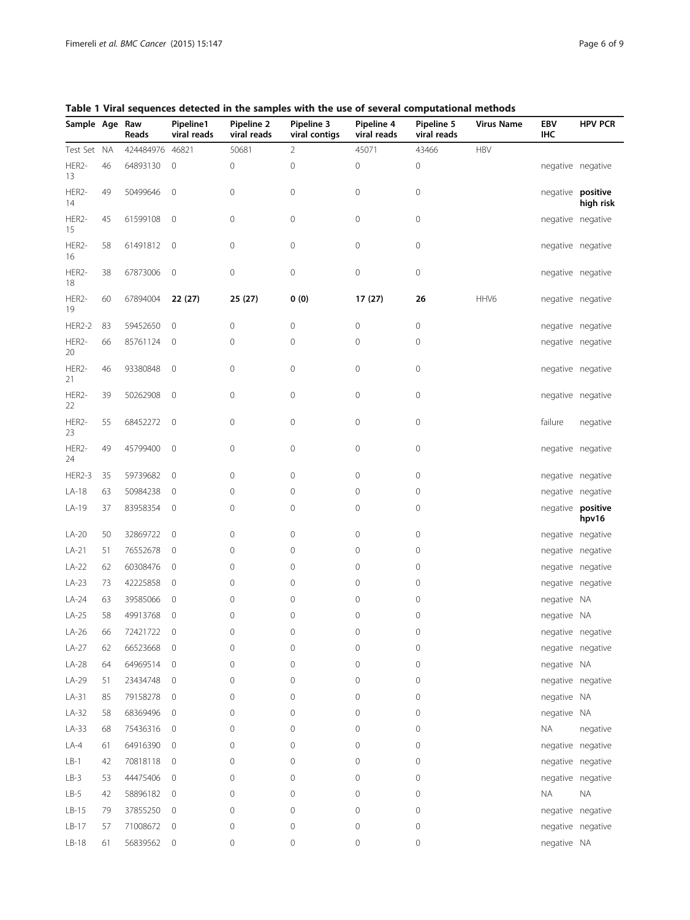<span id="page-5-0"></span>Table 1 Viral sequences detected in the samples with the use of several computational methods

|                |    |                 |                          |                           | Table T vital sequences actected in the samples with the use of several compatational inclinuas |                           |                           |                   |                   |                                |
|----------------|----|-----------------|--------------------------|---------------------------|-------------------------------------------------------------------------------------------------|---------------------------|---------------------------|-------------------|-------------------|--------------------------------|
| Sample Age Raw |    | Reads           | Pipeline1<br>viral reads | Pipeline 2<br>viral reads | Pipeline 3<br>viral contigs                                                                     | Pipeline 4<br>viral reads | Pipeline 5<br>viral reads | <b>Virus Name</b> | EBV<br><b>IHC</b> | <b>HPV PCR</b>                 |
| Test Set NA    |    | 424484976 46821 |                          | 50681                     | $\overline{2}$                                                                                  | 45071                     | 43466                     | <b>HBV</b>        |                   |                                |
| HER2-<br>13    | 46 | 64893130        | $\overline{0}$           | $\mathbf 0$               | $\mathbf 0$                                                                                     | 0                         | 0                         |                   |                   | negative negative              |
| HER2-<br>14    | 49 | 50499646        | $\overline{0}$           | $\mathbf 0$               | $\mathbf 0$                                                                                     | 0                         | 0                         |                   |                   | negative positive<br>high risk |
| HER2-<br>15    | 45 | 61599108        | 0                        | $\mathbf 0$               | $\mathbf 0$                                                                                     | 0                         | 0                         |                   |                   | negative negative              |
| HER2-<br>16    | 58 | 61491812 0      |                          | $\mathbf 0$               | $\mathbf 0$                                                                                     | 0                         | 0                         |                   |                   | negative negative              |
| HER2-<br>18    | 38 | 67873006        | $\overline{0}$           | $\mathbf 0$               | $\mathbf 0$                                                                                     | 0                         | 0                         |                   |                   | negative negative              |
| HER2-<br>19    | 60 | 67894004        | 22(27)                   | 25(27)                    | 0(0)                                                                                            | 17(27)                    | 26                        | HHV6              |                   | negative negative              |
| <b>HER2-2</b>  | 83 | 59452650        | $\overline{0}$           | $\mathbf 0$               | $\mathbf 0$                                                                                     | 0                         | 0                         |                   |                   | negative negative              |
| HER2-<br>20    | 66 | 85761124        | $\overline{0}$           | $\mathbf{0}$              | $\mathbf{0}$                                                                                    | 0                         | 0                         |                   |                   | negative negative              |
| HER2-<br>21    | 46 | 93380848        | $\overline{0}$           | $\mathbf 0$               | $\mathbf 0$                                                                                     | 0                         | 0                         |                   |                   | negative negative              |
| HER2-<br>22    | 39 | 50262908        | $\overline{0}$           | $\mathbf 0$               | $\mathbf 0$                                                                                     | 0                         | 0                         |                   |                   | negative negative              |
| HER2-<br>23    | 55 | 68452272        | $\overline{0}$           | $\mathbf 0$               | $\mathbf 0$                                                                                     | 0                         | 0                         |                   | failure           | negative                       |
| HER2-<br>24    | 49 | 45799400        | $\overline{0}$           | $\mathbf 0$               | $\mathbf 0$                                                                                     | 0                         | 0                         |                   |                   | negative negative              |
| HER2-3         | 35 | 59739682        | $\mathbf 0$              | $\mathbf 0$               | $\mathbf 0$                                                                                     | 0                         | 0                         |                   |                   | negative negative              |
| $LA-18$        | 63 | 50984238        | $\circ$                  | 0                         | $\mathbf 0$                                                                                     | 0                         | 0                         |                   |                   | negative negative              |
| LA-19          | 37 | 83958354        | $\mathbf 0$              | $\mathbf 0$               | $\mathbf 0$                                                                                     | 0                         | 0                         |                   |                   | negative positive<br>hpv16     |
| $LA-20$        | 50 | 32869722        | $\mathbf 0$              | $\mathbf 0$               | $\mathbf 0$                                                                                     | 0                         | 0                         |                   |                   | negative negative              |
| $LA-21$        | 51 | 76552678        | $\mathbf 0$              | $\mathbf{0}$              | $\mathbf 0$                                                                                     | 0                         | 0                         |                   |                   | negative negative              |
| $LA-22$        | 62 | 60308476        | $\mathbf 0$              | $\mathbf 0$               | $\mathbf 0$                                                                                     | 0                         | 0                         |                   |                   | negative negative              |
| $LA-23$        | 73 | 42225858        | $\mathbf 0$              | 0                         | $\mathbf 0$                                                                                     | 0                         | 0                         |                   |                   | negative negative              |
| $LA-24$        | 63 | 39585066        | $\mathbf 0$              | 0                         | $\mathbf 0$                                                                                     | 0                         | 0                         |                   | negative NA       |                                |
| $LA-25$        | 58 | 49913768        | $\overline{0}$           | 0                         | $\mathbf 0$                                                                                     | 0                         | 0                         |                   | negative NA       |                                |
| $LA-26$        | 66 | 72421722        | $\mathbf 0$              | $\mathbf 0$               | $\mathbf 0$                                                                                     | 0                         | 0                         |                   |                   | negative negative              |
| $LA-27$        | 62 | 66523668        | $\mathbf 0$              | 0                         | $\mathbf 0$                                                                                     | 0                         | 0                         |                   |                   | negative negative              |
| $LA-28$        | 64 | 64969514        | $\mathbf{0}$             | $\mathbf 0$               | $\overline{0}$                                                                                  | 0                         | 0                         |                   | negative NA       |                                |
| LA-29          | 51 | 23434748        | $\mathbf{0}$             | 0                         | $\mathbf 0$                                                                                     | 0                         | 0                         |                   |                   | negative negative              |
| $LA-31$        | 85 | 79158278        | $\overline{0}$           | 0                         | $\mathbf 0$                                                                                     | 0                         | 0                         |                   | negative NA       |                                |
| $LA-32$        | 58 | 68369496        | $\overline{0}$           | 0                         | $\mathbf 0$                                                                                     | 0                         | 0                         |                   | negative NA       |                                |
| $LA-33$        | 68 | 75436316        | $\overline{0}$           | 0                         | $\mathbf 0$                                                                                     | 0                         | 0                         |                   | <b>NA</b>         | negative                       |
| $LA-4$         | 61 | 64916390        | $\overline{0}$           | $\mathbf 0$               | $\mathbf 0$                                                                                     | 0                         | 0                         |                   |                   | negative negative              |
| $LB-1$         | 42 | 70818118        | $\overline{0}$           | $\mathbf 0$               | $\mathbf 0$                                                                                     | 0                         | 0                         |                   |                   | negative negative              |
| $LB-3$         | 53 | 44475406        | $\mathbf{0}$             | 0                         | $\mathbf 0$                                                                                     | 0                         | 0                         |                   |                   | negative negative              |
| $LB-5$         | 42 | 58896182        | $\overline{0}$           | $\mathbf 0$               | $\overline{0}$                                                                                  | 0                         | 0                         |                   | <b>NA</b>         | <b>NA</b>                      |
| $LB-15$        | 79 | 37855250        | $\overline{0}$           | $\mathbf 0$               | $\mathbf 0$                                                                                     | 0                         | 0                         |                   |                   | negative negative              |
| $LB-17$        | 57 | 71008672        | $\overline{0}$           | 0                         | $\mathbf 0$                                                                                     | 0                         | 0                         |                   |                   | negative negative              |
| $LB-18$        | 61 | 56839562        | $\overline{0}$           | $\circ$                   | $\circ$                                                                                         | 0                         | 0                         |                   |                   |                                |
|                |    |                 |                          |                           |                                                                                                 |                           |                           |                   | negative NA       |                                |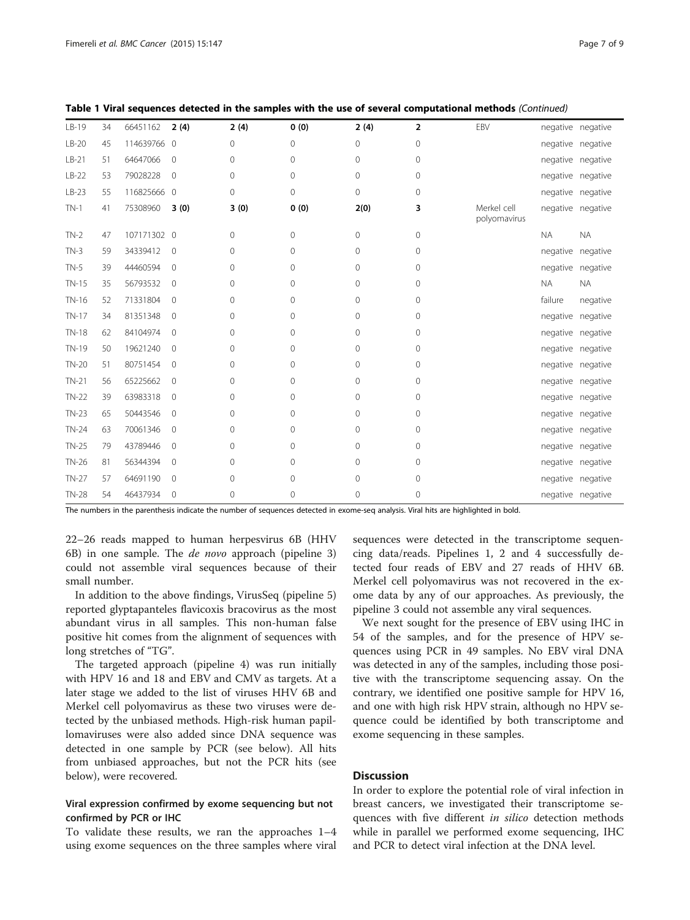| $LB-19$      | 34 | 66451162    | 2(4)           | 2(4)        | 0(0)         | 2(4)         | $\overline{2}$ | EBV                         | negative negative |                   |
|--------------|----|-------------|----------------|-------------|--------------|--------------|----------------|-----------------------------|-------------------|-------------------|
| $LB-20$      | 45 | 114639766 0 |                | 0           | 0            | $\mathbf{0}$ | 0              |                             | negative negative |                   |
| $LB-21$      | 51 | 64647066    | $\Omega$       | 0           | 0            | $\circ$      | $\circ$        |                             | negative negative |                   |
| $LB-22$      | 53 | 79028228    | $\overline{0}$ | 0           | 0            | $\circ$      | 0              |                             | negative negative |                   |
| $LB-23$      | 55 | 116825666 0 |                | 0           | 0            | $\circ$      | $\mathbf{0}$   |                             | negative negative |                   |
| $TN-1$       | 41 | 75308960    | 3(0)           | 3(0)        | 0(0)         | 2(0)         | 3              | Merkel cell<br>polyomavirus | negative negative |                   |
| $TN-2$       | 47 | 107171302 0 |                | 0           | $\mathbf{0}$ | $\circ$      | 0              |                             | <b>NA</b>         | <b>NA</b>         |
| $TN-3$       | 59 | 34339412    | $\Omega$       | 0           | 0            | $\circ$      | $\mathbf 0$    |                             | negative          | negative          |
| $TN-5$       | 39 | 44460594    | $\overline{0}$ | $\mathbf 0$ | $\mathbf 0$  | $\mathbf{0}$ | $\mathbf 0$    |                             | negative negative |                   |
| $TN-15$      | 35 | 56793532    | $\overline{0}$ | 0           | 0            | $\mathbf{0}$ | $\mathbf{0}$   |                             | <b>NA</b>         | <b>NA</b>         |
| TN-16        | 52 | 71331804    | $\overline{0}$ | 0           | $\mathbf 0$  | $\Omega$     | $\mathbf{0}$   |                             | failure           | negative          |
| $TN-17$      | 34 | 81351348    | $\overline{0}$ | 0           | 0            | $\mathbf{0}$ | $\mathbf{0}$   |                             |                   | negative negative |
| <b>TN-18</b> | 62 | 84104974    | $\Omega$       | 0           | 0            | $\circ$      | 0              |                             | negative negative |                   |
| TN-19        | 50 | 19621240    | $\overline{0}$ | 0           | 0            | $\mathbf 0$  | 0              |                             | negative negative |                   |
| <b>TN-20</b> | 51 | 80751454    | $\overline{0}$ | 0           | 0            | $\circ$      | 0              |                             |                   | negative negative |
| $TN-21$      | 56 | 65225662    | $\overline{0}$ | 0           | 0            | $\mathbf{0}$ | $\mathbf{0}$   |                             | negative negative |                   |
| <b>TN-22</b> | 39 | 63983318    | $\overline{0}$ | 0           | $\mathbf{0}$ | $\mathbf{0}$ | $\mathbf{0}$   |                             | negative negative |                   |
| $TN-23$      | 65 | 50443546    | $\overline{0}$ | 0           | 0            | $\circ$      | $\mathbf{0}$   |                             |                   | negative negative |
| <b>TN-24</b> | 63 | 70061346    | $\overline{0}$ | 0           | 0            | $\mathbf{0}$ | $\mathbf{0}$   |                             | negative negative |                   |
| <b>TN-25</b> | 79 | 43789446    | $\overline{0}$ | $\mathbf 0$ | $\mathbf 0$  | $\mathbf{0}$ | 0              |                             | negative negative |                   |
| <b>TN-26</b> | 81 | 56344394    | $\overline{0}$ | 0           | 0            | $\circ$      | $\mathbf{0}$   |                             | negative negative |                   |
| <b>TN-27</b> | 57 | 64691190    | $\overline{0}$ | 0           | 0            | $\mathbf{0}$ | $\mathbf{0}$   |                             |                   | negative negative |
| <b>TN-28</b> | 54 | 46437934    | $\Omega$       | $\mathbf 0$ | $\mathbf 0$  | $\mathbf{0}$ | $\mathbf 0$    |                             | negative negative |                   |

Table 1 Viral sequences detected in the samples with the use of several computational methods (Continued)

The numbers in the parenthesis indicate the number of sequences detected in exome-seq analysis. Viral hits are highlighted in bold.

22–26 reads mapped to human herpesvirus 6B (HHV 6B) in one sample. The de novo approach (pipeline 3) could not assemble viral sequences because of their small number.

In addition to the above findings, VirusSeq (pipeline 5) reported glyptapanteles flavicoxis bracovirus as the most abundant virus in all samples. This non-human false positive hit comes from the alignment of sequences with long stretches of "TG".

The targeted approach (pipeline 4) was run initially with HPV 16 and 18 and EBV and CMV as targets. At a later stage we added to the list of viruses HHV 6B and Merkel cell polyomavirus as these two viruses were detected by the unbiased methods. High-risk human papillomaviruses were also added since DNA sequence was detected in one sample by PCR (see below). All hits from unbiased approaches, but not the PCR hits (see below), were recovered.

# Viral expression confirmed by exome sequencing but not confirmed by PCR or IHC

To validate these results, we ran the approaches 1–4 using exome sequences on the three samples where viral sequences were detected in the transcriptome sequencing data/reads. Pipelines 1, 2 and 4 successfully detected four reads of EBV and 27 reads of HHV 6B. Merkel cell polyomavirus was not recovered in the exome data by any of our approaches. As previously, the pipeline 3 could not assemble any viral sequences.

We next sought for the presence of EBV using IHC in 54 of the samples, and for the presence of HPV sequences using PCR in 49 samples. No EBV viral DNA was detected in any of the samples, including those positive with the transcriptome sequencing assay. On the contrary, we identified one positive sample for HPV 16, and one with high risk HPV strain, although no HPV sequence could be identified by both transcriptome and exome sequencing in these samples.

# **Discussion**

In order to explore the potential role of viral infection in breast cancers, we investigated their transcriptome sequences with five different *in silico* detection methods while in parallel we performed exome sequencing, IHC and PCR to detect viral infection at the DNA level.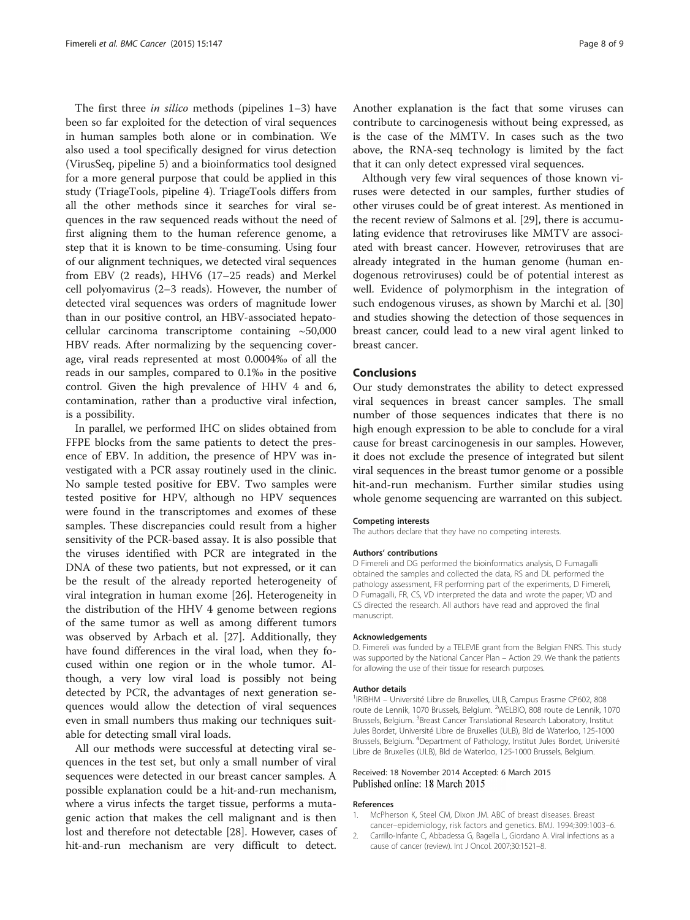<span id="page-7-0"></span>The first three in silico methods (pipelines 1–3) have been so far exploited for the detection of viral sequences in human samples both alone or in combination. We also used a tool specifically designed for virus detection (VirusSeq, pipeline 5) and a bioinformatics tool designed for a more general purpose that could be applied in this study (TriageTools, pipeline 4). TriageTools differs from all the other methods since it searches for viral sequences in the raw sequenced reads without the need of first aligning them to the human reference genome, a step that it is known to be time-consuming. Using four of our alignment techniques, we detected viral sequences from EBV (2 reads), HHV6 (17–25 reads) and Merkel cell polyomavirus (2–3 reads). However, the number of detected viral sequences was orders of magnitude lower than in our positive control, an HBV-associated hepatocellular carcinoma transcriptome containing ~50,000 HBV reads. After normalizing by the sequencing coverage, viral reads represented at most 0.0004‰ of all the reads in our samples, compared to 0.1‰ in the positive control. Given the high prevalence of HHV 4 and 6, contamination, rather than a productive viral infection, is a possibility.

In parallel, we performed IHC on slides obtained from FFPE blocks from the same patients to detect the presence of EBV. In addition, the presence of HPV was investigated with a PCR assay routinely used in the clinic. No sample tested positive for EBV. Two samples were tested positive for HPV, although no HPV sequences were found in the transcriptomes and exomes of these samples. These discrepancies could result from a higher sensitivity of the PCR-based assay. It is also possible that the viruses identified with PCR are integrated in the DNA of these two patients, but not expressed, or it can be the result of the already reported heterogeneity of viral integration in human exome [\[26\]](#page-8-0). Heterogeneity in the distribution of the HHV 4 genome between regions of the same tumor as well as among different tumors was observed by Arbach et al. [\[27](#page-8-0)]. Additionally, they have found differences in the viral load, when they focused within one region or in the whole tumor. Although, a very low viral load is possibly not being detected by PCR, the advantages of next generation sequences would allow the detection of viral sequences even in small numbers thus making our techniques suitable for detecting small viral loads.

All our methods were successful at detecting viral sequences in the test set, but only a small number of viral sequences were detected in our breast cancer samples. A possible explanation could be a hit-and-run mechanism, where a virus infects the target tissue, performs a mutagenic action that makes the cell malignant and is then lost and therefore not detectable [\[28](#page-8-0)]. However, cases of hit-and-run mechanism are very difficult to detect. Another explanation is the fact that some viruses can contribute to carcinogenesis without being expressed, as is the case of the MMTV. In cases such as the two above, the RNA-seq technology is limited by the fact that it can only detect expressed viral sequences.

Although very few viral sequences of those known viruses were detected in our samples, further studies of other viruses could be of great interest. As mentioned in the recent review of Salmons et al. [[29\]](#page-8-0), there is accumulating evidence that retroviruses like MMTV are associated with breast cancer. However, retroviruses that are already integrated in the human genome (human endogenous retroviruses) could be of potential interest as well. Evidence of polymorphism in the integration of such endogenous viruses, as shown by Marchi et al. [[30](#page-8-0)] and studies showing the detection of those sequences in breast cancer, could lead to a new viral agent linked to breast cancer.

# **Conclusions**

Our study demonstrates the ability to detect expressed viral sequences in breast cancer samples. The small number of those sequences indicates that there is no high enough expression to be able to conclude for a viral cause for breast carcinogenesis in our samples. However, it does not exclude the presence of integrated but silent viral sequences in the breast tumor genome or a possible hit-and-run mechanism. Further similar studies using whole genome sequencing are warranted on this subject.

#### Competing interests

The authors declare that they have no competing interests.

#### Authors' contributions

D Fimereli and DG performed the bioinformatics analysis, D Fumagalli obtained the samples and collected the data, RS and DL performed the pathology assessment, FR performing part of the experiments, D Fimereli, D Fumagalli, FR, CS, VD interpreted the data and wrote the paper; VD and CS directed the research. All authors have read and approved the final manuscript.

#### Acknowledgements

D. Fimereli was funded by a TELEVIE grant from the Belgian FNRS. This study was supported by the National Cancer Plan – Action 29. We thank the patients for allowing the use of their tissue for research purposes.

#### Author details

<sup>1</sup> IRIBHM - Université Libre de Bruxelles, ULB, Campus Erasme CP602, 808 route de Lennik, 1070 Brussels, Belgium. <sup>2</sup>WELBIO, 808 route de Lennik, 1070 Brussels, Belgium. <sup>3</sup> Breast Cancer Translational Research Laboratory, Institut Jules Bordet, Université Libre de Bruxelles (ULB), Bld de Waterloo, 125-1000 Brussels, Belgium. <sup>4</sup> Department of Pathology, Institut Jules Bordet, Université Libre de Bruxelles (ULB), Bld de Waterloo, 125-1000 Brussels, Belgium.

#### Received: 18 November 2014 Accepted: 6 March 2015 Published online: 18 March 2015

#### References

- 1. McPherson K, Steel CM, Dixon JM. ABC of breast diseases. Breast cancer–epidemiology, risk factors and genetics. BMJ. 1994;309:1003–6.
- 2. Carrillo-Infante C, Abbadessa G, Bagella L, Giordano A. Viral infections as a cause of cancer (review). Int J Oncol. 2007;30:1521–8.